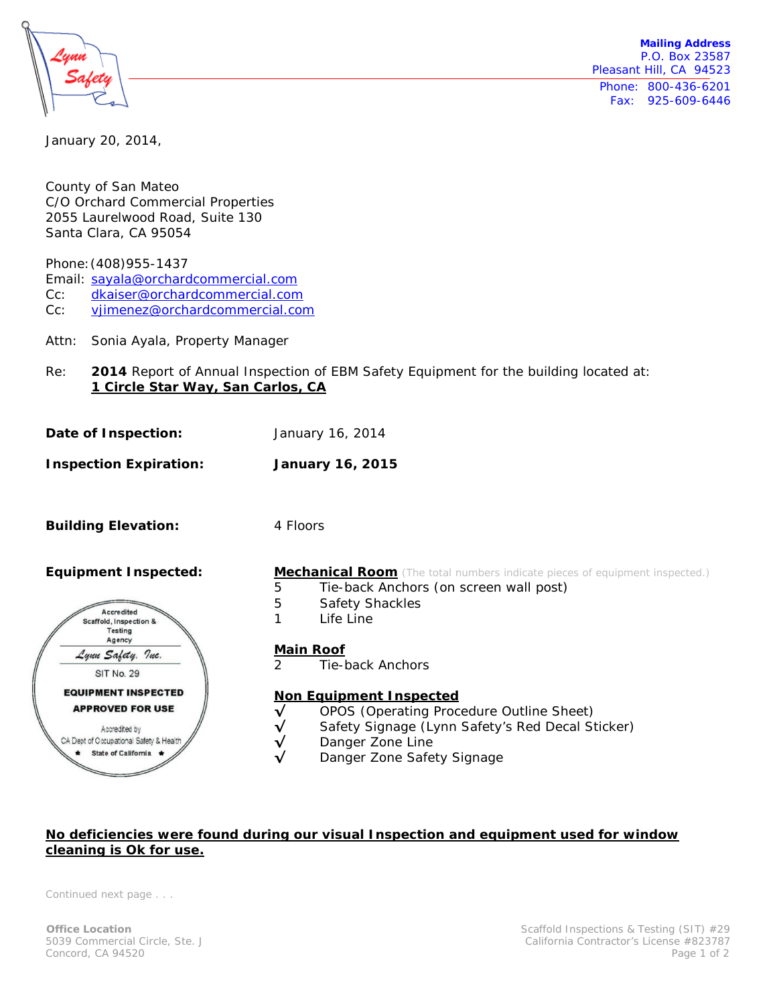

**Mailing Address** P.O. Box 23587 Pleasant Hill, CA 94523 Phone: 800-436-6201 Fax: 925-609-6446

January 20, 2014,

County of San Mateo C/O Orchard Commercial Properties 2055 Laurelwood Road, Suite 130 Santa Clara, CA 95054

Phone:(408)955-1437

Email: [sayala@orchardcommercial.com](mailto:sayala@orchardcommercial.com)

Cc: [dkaiser@orchardcommercial.com](mailto:dkaiser@orchardcommercial.com)

- Cc: [vjimenez@orchardcommercial.com](mailto:vjimenez@orchardcommercial.com)
- Attn: Sonia Ayala, Property Manager
- Re: **2014** Report of Annual Inspection of EBM Safety Equipment for the building located at: **1 Circle Star Way, San Carlos, CA**
- **Date of Inspection:** January 16, 2014
- **Inspection Expiration: January 16, 2015**

**Building Elevation:** 4 Floors



**Equipment Inspected: Mechanical Room** (The total numbers indicate pieces of equipment inspected.)

- 5 Tie-back Anchors (on screen wall post)
- 5 Safety Shackles
- 1 Life Line
	- **Main Roof**
	- 2 Tie-back Anchors

## **Non Equipment Inspected**

- **√** OPOS (Operating Procedure Outline Sheet)
- **√** Safety Signage (Lynn Safety's Red Decal Sticker)
- **√** Danger Zone Line
- Danger Zone Safety Signage

## **No deficiencies were found during our visual Inspection and equipment used for window cleaning is Ok for use.**

*Continued next page . . .*